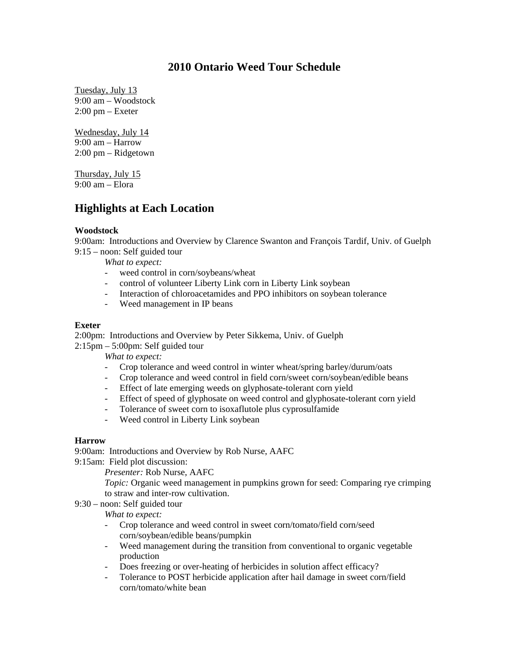## **2010 Ontario Weed Tour Schedule**

Tuesday, July 13 9:00 am – Woodstock 2:00 pm – Exeter

Wednesday, July 14 9:00 am – Harrow 2:00 pm – Ridgetown

Thursday, July 15  $9:00$  am – Elora

# **Highlights at Each Location**

#### **Woodstock**

9:00am: Introductions and Overview by Clarence Swanton and François Tardif, Univ. of Guelph 9:15 – noon: Self guided tour

*What to expect:* 

- weed control in corn/soybeans/wheat
- control of volunteer Liberty Link corn in Liberty Link soybean
- Interaction of chloroacetamides and PPO inhibitors on soybean tolerance
- Weed management in IP beans

#### **Exeter**

2:00pm: Introductions and Overview by Peter Sikkema, Univ. of Guelph

2:15pm – 5:00pm: Self guided tour

*What to expect:* 

- Crop tolerance and weed control in winter wheat/spring barley/durum/oats
- Crop tolerance and weed control in field corn/sweet corn/soybean/edible beans
- Effect of late emerging weeds on glyphosate-tolerant corn yield
- Effect of speed of glyphosate on weed control and glyphosate-tolerant corn yield
- Tolerance of sweet corn to isoxaflutole plus cyprosulfamide
- Weed control in Liberty Link soybean

#### **Harrow**

9:00am: Introductions and Overview by Rob Nurse, AAFC

9:15am: Field plot discussion:

*Presenter:* Rob Nurse, AAFC

*Topic:* Organic weed management in pumpkins grown for seed: Comparing rye crimping to straw and inter-row cultivation.

9:30 – noon: Self guided tour

*What to expect:* 

- Crop tolerance and weed control in sweet corn/tomato/field corn/seed corn/soybean/edible beans/pumpkin
- Weed management during the transition from conventional to organic vegetable production
- Does freezing or over-heating of herbicides in solution affect efficacy?
- Tolerance to POST herbicide application after hail damage in sweet corn/field corn/tomato/white bean